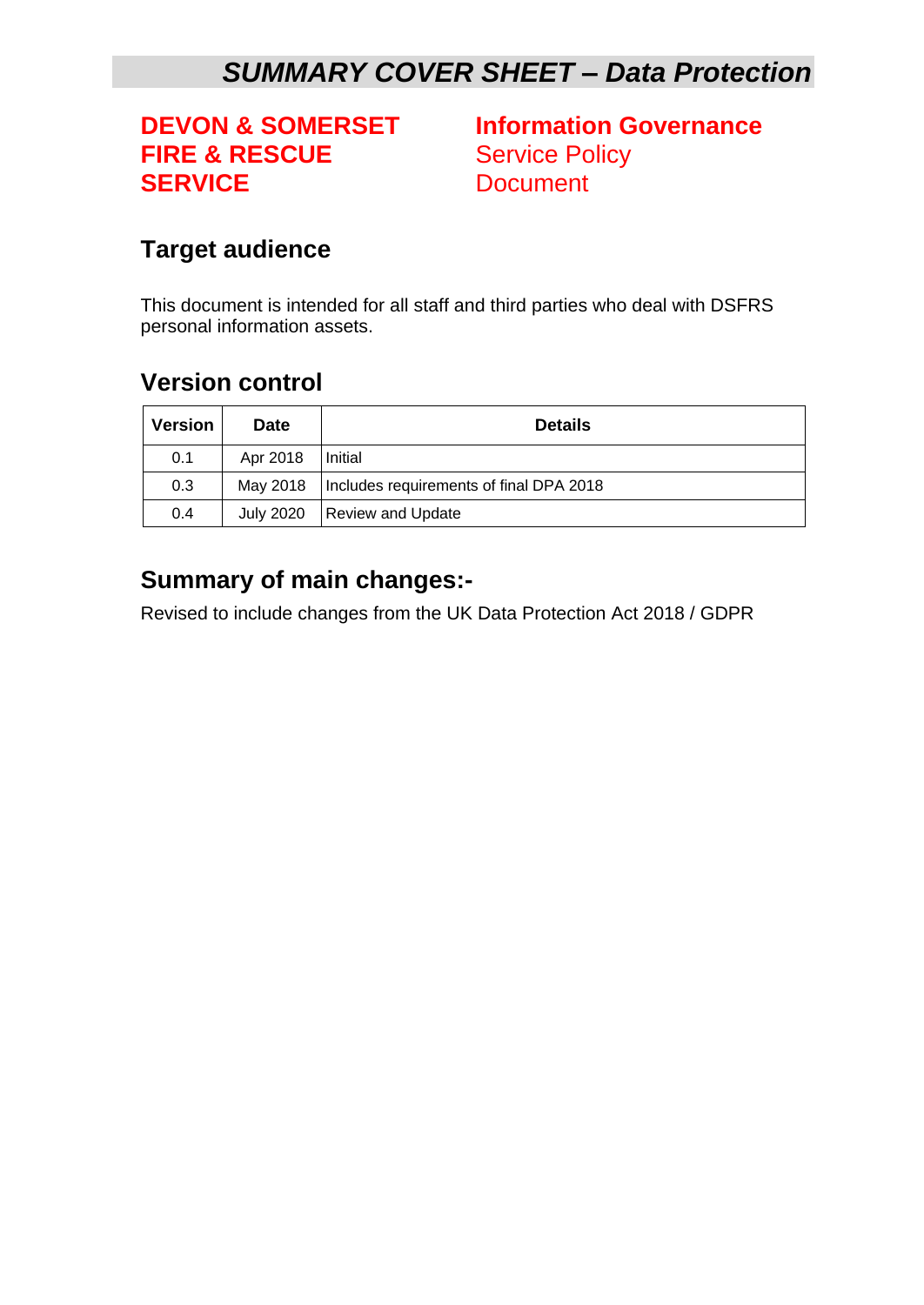# *SUMMARY COVER SHEET – Data Protection*

# **FIRE & RESCUE** Service Policy **SERVICE** Document

**DEVON & SOMERSET Information Governance**

#### <span id="page-0-0"></span>**Target audience**

This document is intended for all staff and third parties who deal with DSFRS personal information assets.

#### <span id="page-0-1"></span>**Version control**

| <b>Version</b> | <b>Date</b>      | <b>Details</b>                          |
|----------------|------------------|-----------------------------------------|
| 0.1            | Apr 2018         | Initial                                 |
| 0.3            | Mav 2018         | Includes requirements of final DPA 2018 |
| 0.4            | <b>July 2020</b> | Review and Update                       |

#### <span id="page-0-2"></span>**Summary of main changes:-**

Revised to include changes from the UK Data Protection Act 2018 / GDPR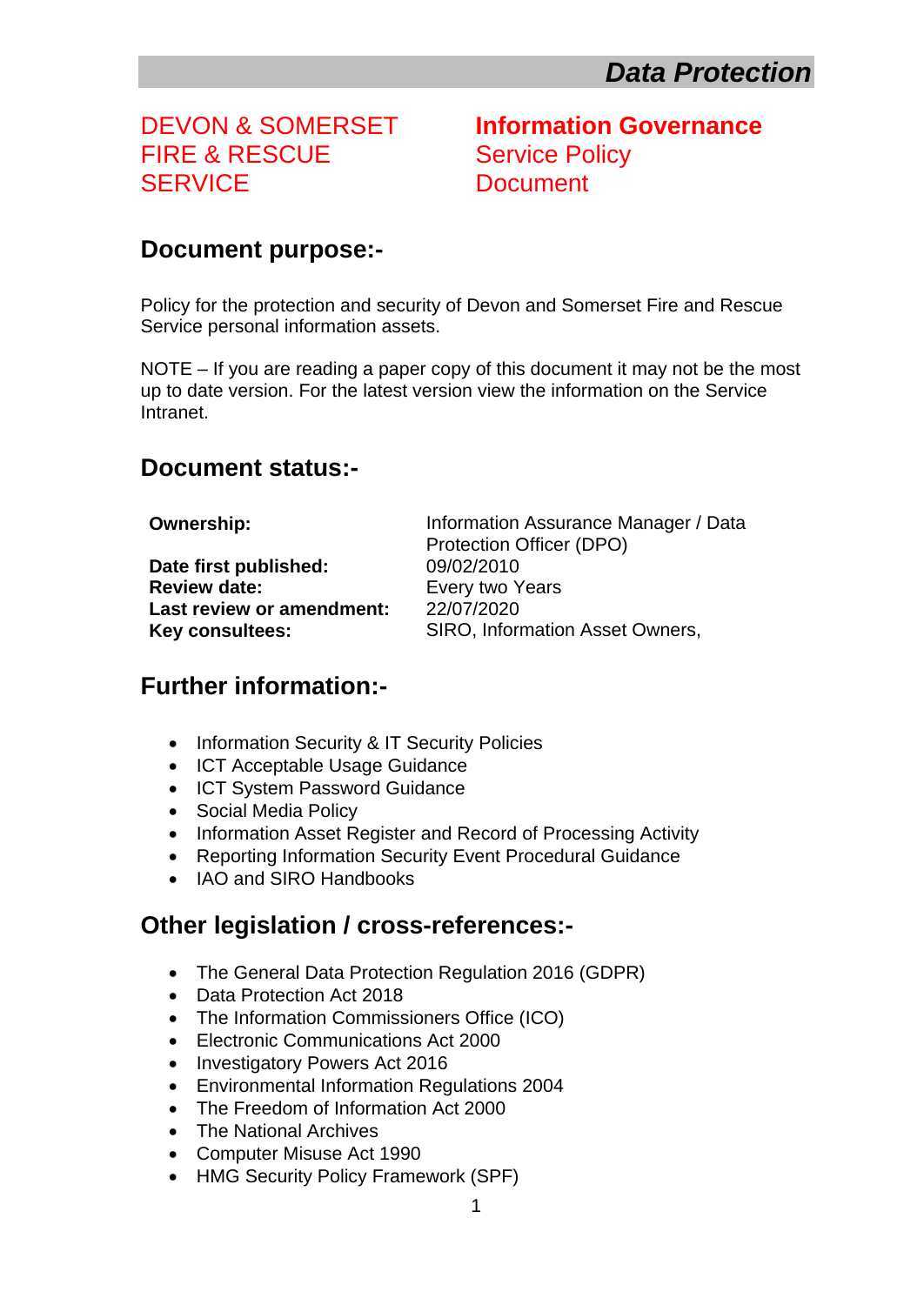# FIRE & RESCUE Service Policy SERVICE Document

DEVON & SOMERSET **Information Governance**

#### <span id="page-1-0"></span>**Document purpose:-**

Policy for the protection and security of Devon and Somerset Fire and Rescue Service personal information assets.

NOTE – If you are reading a paper copy of this document it may not be the most up to date version. For the latest version view the information on the Service Intranet.

#### <span id="page-1-1"></span>**Document status:-**

**Date first published:** 09/02/2010 **Review date:** Every two Years **Last review or amendment:** 22/07/2020

**Ownership:** Information Assurance Manager / Data Protection Officer (DPO) **Key consultees:** SIRO, Information Asset Owners,

#### <span id="page-1-2"></span>**Further information:-**

- Information Security & IT Security Policies
- ICT Acceptable Usage Guidance
- ICT System Password Guidance
- Social Media Policy
- Information Asset Register and Record of Processing Activity
- Reporting Information Security Event Procedural Guidance
- IAO and SIRO Handbooks

#### **Other legislation / cross-references:-**

- The General Data Protection Regulation 2016 (GDPR)
- Data Protection Act 2018
- The Information Commissioners Office (ICO)
- Electronic Communications Act 2000
- Investigatory Powers Act 2016
- Environmental Information Regulations 2004
- The Freedom of Information Act 2000
- The National Archives
- Computer Misuse Act 1990
- HMG Security Policy Framework (SPF)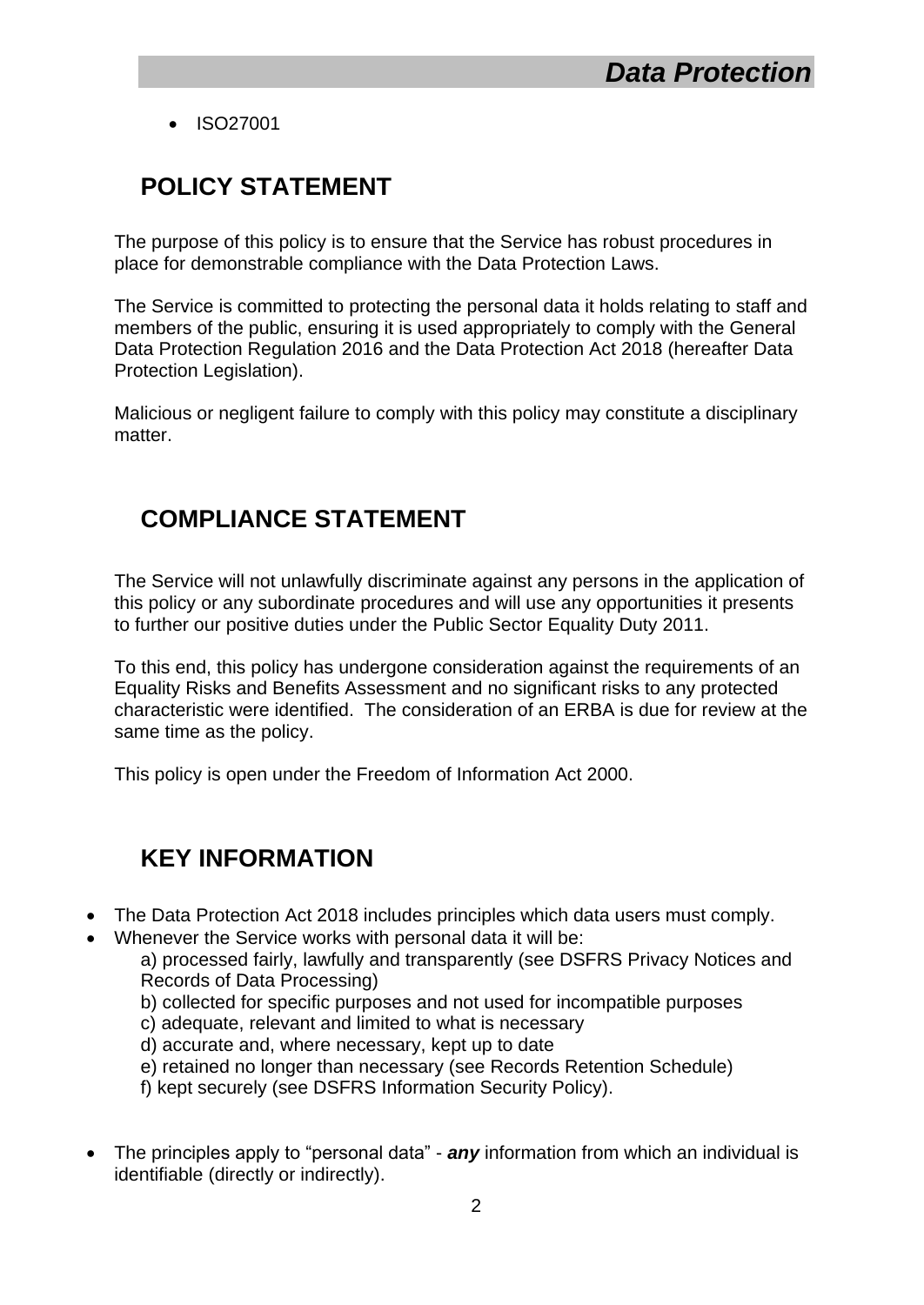ISO27001

## <span id="page-2-0"></span>**POLICY STATEMENT**

The purpose of this policy is to ensure that the Service has robust procedures in place for demonstrable compliance with the Data Protection Laws.

The Service is committed to protecting the personal data it holds relating to staff and members of the public, ensuring it is used appropriately to comply with the General Data Protection Regulation 2016 and the Data Protection Act 2018 (hereafter Data Protection Legislation).

Malicious or negligent failure to comply with this policy may constitute a disciplinary matter.

## <span id="page-2-1"></span>**COMPLIANCE STATEMENT**

The Service will not unlawfully discriminate against any persons in the application of this policy or any subordinate procedures and will use any opportunities it presents to further our positive duties under the Public Sector Equality Duty 2011.

To this end, this policy has undergone consideration against the requirements of an Equality Risks and Benefits Assessment and no significant risks to any protected characteristic were identified. The consideration of an ERBA is due for review at the same time as the policy.

This policy is open under the Freedom of Information Act 2000.

#### <span id="page-2-2"></span>**KEY INFORMATION**

- The Data Protection Act 2018 includes principles which data users must comply.
- Whenever the Service works with personal data it will be:

a) processed fairly, lawfully and transparently (see DSFRS Privacy Notices and Records of Data Processing)

- b) collected for specific purposes and not used for incompatible purposes
- c) adequate, relevant and limited to what is necessary
- d) accurate and, where necessary, kept up to date
- e) retained no longer than necessary (see Records Retention Schedule)

f) kept securely (see DSFRS Information Security Policy).

 The principles apply to "personal data" - *any* information from which an individual is identifiable (directly or indirectly).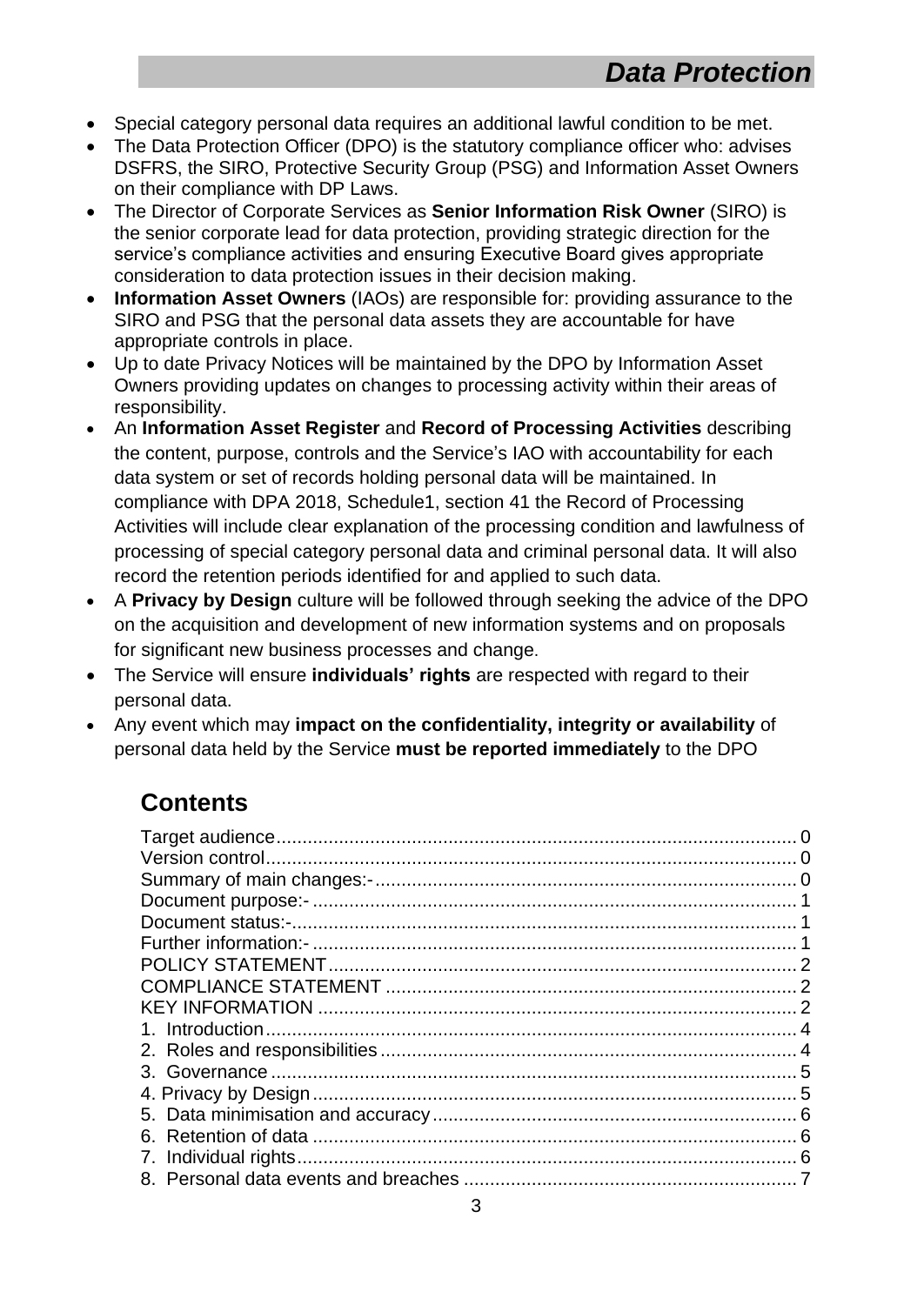- Special category personal data requires an additional lawful condition to be met.
- The Data Protection Officer (DPO) is the statutory compliance officer who: advises DSFRS, the SIRO, Protective Security Group (PSG) and Information Asset Owners on their compliance with DP Laws.
- The Director of Corporate Services as **Senior Information Risk Owner** (SIRO) is the senior corporate lead for data protection, providing strategic direction for the service's compliance activities and ensuring Executive Board gives appropriate consideration to data protection issues in their decision making.
- **Information Asset Owners** (IAOs) are responsible for: providing assurance to the SIRO and PSG that the personal data assets they are accountable for have appropriate controls in place.
- Up to date Privacy Notices will be maintained by the DPO by Information Asset Owners providing updates on changes to processing activity within their areas of responsibility.
- An **Information Asset Register** and **Record of Processing Activities** describing the content, purpose, controls and the Service's IAO with accountability for each data system or set of records holding personal data will be maintained. In compliance with DPA 2018, Schedule1, section 41 the Record of Processing Activities will include clear explanation of the processing condition and lawfulness of processing of special category personal data and criminal personal data. It will also record the retention periods identified for and applied to such data.
- A **Privacy by Design** culture will be followed through seeking the advice of the DPO on the acquisition and development of new information systems and on proposals for significant new business processes and change.
- The Service will ensure **individuals' rights** are respected with regard to their personal data.
- Any event which may **impact on the confidentiality, integrity or availability** of personal data held by the Service **must be reported immediately** to the DPO

## **Contents**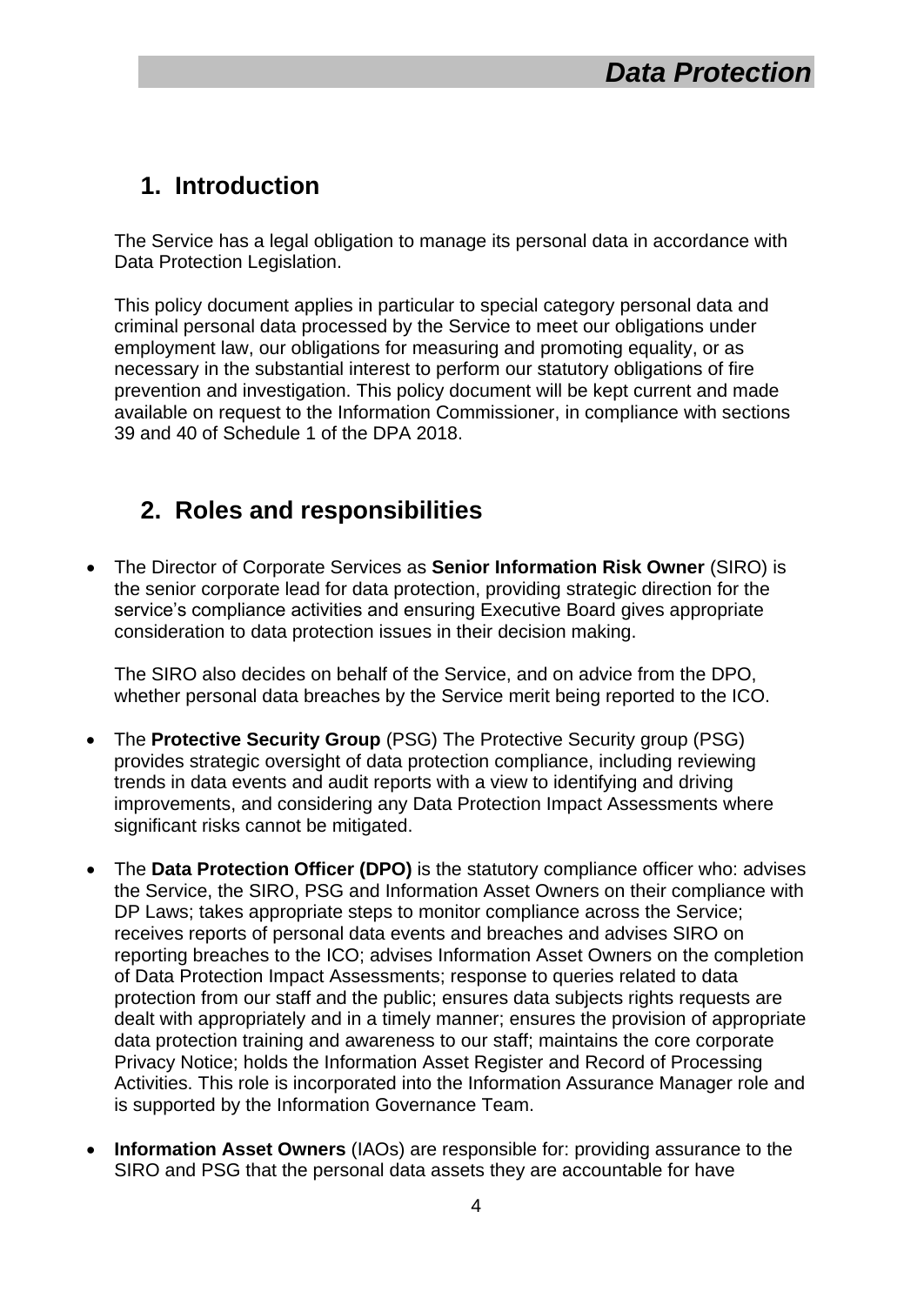## <span id="page-4-0"></span>**1. Introduction**

The Service has a legal obligation to manage its personal data in accordance with Data Protection Legislation.

This policy document applies in particular to special category personal data and criminal personal data processed by the Service to meet our obligations under employment law, our obligations for measuring and promoting equality, or as necessary in the substantial interest to perform our statutory obligations of fire prevention and investigation. This policy document will be kept current and made available on request to the Information Commissioner, in compliance with sections 39 and 40 of Schedule 1 of the DPA 2018.

### <span id="page-4-1"></span>**2. Roles and responsibilities**

 The Director of Corporate Services as **Senior Information Risk Owner** (SIRO) is the senior corporate lead for data protection, providing strategic direction for the service's compliance activities and ensuring Executive Board gives appropriate consideration to data protection issues in their decision making.

The SIRO also decides on behalf of the Service, and on advice from the DPO, whether personal data breaches by the Service merit being reported to the ICO.

- The **Protective Security Group** (PSG) The Protective Security group (PSG) provides strategic oversight of data protection compliance, including reviewing trends in data events and audit reports with a view to identifying and driving improvements, and considering any Data Protection Impact Assessments where significant risks cannot be mitigated.
- The **Data Protection Officer (DPO)** is the statutory compliance officer who: advises the Service, the SIRO, PSG and Information Asset Owners on their compliance with DP Laws; takes appropriate steps to monitor compliance across the Service; receives reports of personal data events and breaches and advises SIRO on reporting breaches to the ICO; advises Information Asset Owners on the completion of Data Protection Impact Assessments; response to queries related to data protection from our staff and the public; ensures data subjects rights requests are dealt with appropriately and in a timely manner; ensures the provision of appropriate data protection training and awareness to our staff; maintains the core corporate Privacy Notice; holds the Information Asset Register and Record of Processing Activities. This role is incorporated into the Information Assurance Manager role and is supported by the Information Governance Team.
- **Information Asset Owners** (IAOs) are responsible for: providing assurance to the SIRO and PSG that the personal data assets they are accountable for have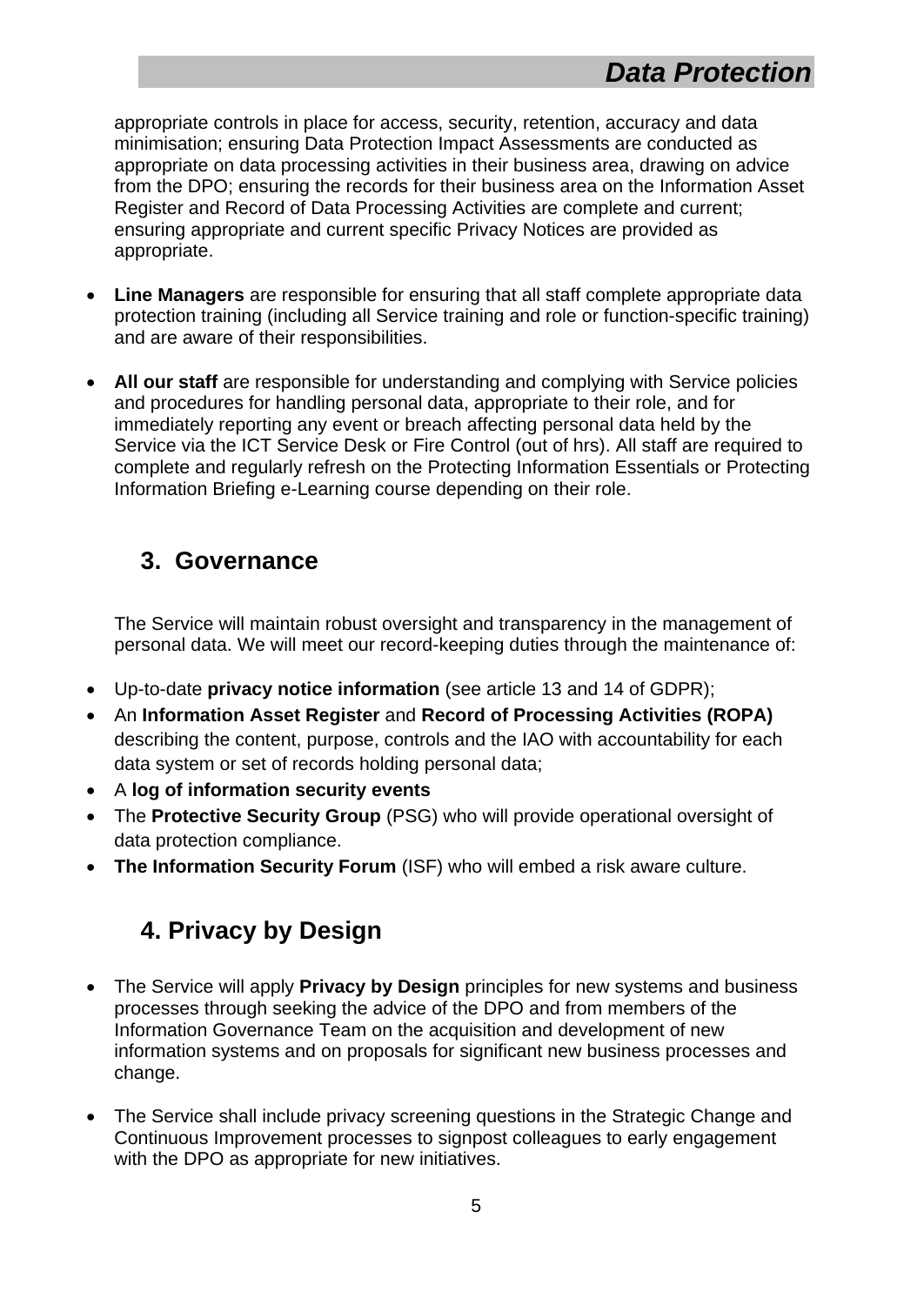appropriate controls in place for access, security, retention, accuracy and data minimisation; ensuring Data Protection Impact Assessments are conducted as appropriate on data processing activities in their business area, drawing on advice from the DPO; ensuring the records for their business area on the Information Asset Register and Record of Data Processing Activities are complete and current; ensuring appropriate and current specific Privacy Notices are provided as appropriate.

- **Line Managers** are responsible for ensuring that all staff complete appropriate data protection training (including all Service training and role or function-specific training) and are aware of their responsibilities.
- **All our staff** are responsible for understanding and complying with Service policies and procedures for handling personal data, appropriate to their role, and for immediately reporting any event or breach affecting personal data held by the Service via the ICT Service Desk or Fire Control (out of hrs). All staff are required to complete and regularly refresh on the Protecting Information Essentials or Protecting Information Briefing e-Learning course depending on their role.

#### <span id="page-5-0"></span>**3. Governance**

The Service will maintain robust oversight and transparency in the management of personal data. We will meet our record-keeping duties through the maintenance of:

- Up-to-date **privacy notice information** (see article 13 and 14 of GDPR);
- An **Information Asset Register** and **Record of Processing Activities (ROPA)** describing the content, purpose, controls and the IAO with accountability for each data system or set of records holding personal data;
- A **log of information security events**
- The **Protective Security Group** (PSG) who will provide operational oversight of data protection compliance.
- **The Information Security Forum** (ISF) who will embed a risk aware culture.

# <span id="page-5-1"></span>**4. Privacy by Design**

- The Service will apply **Privacy by Design** principles for new systems and business processes through seeking the advice of the DPO and from members of the Information Governance Team on the acquisition and development of new information systems and on proposals for significant new business processes and change.
- The Service shall include privacy screening questions in the Strategic Change and Continuous Improvement processes to signpost colleagues to early engagement with the DPO as appropriate for new initiatives.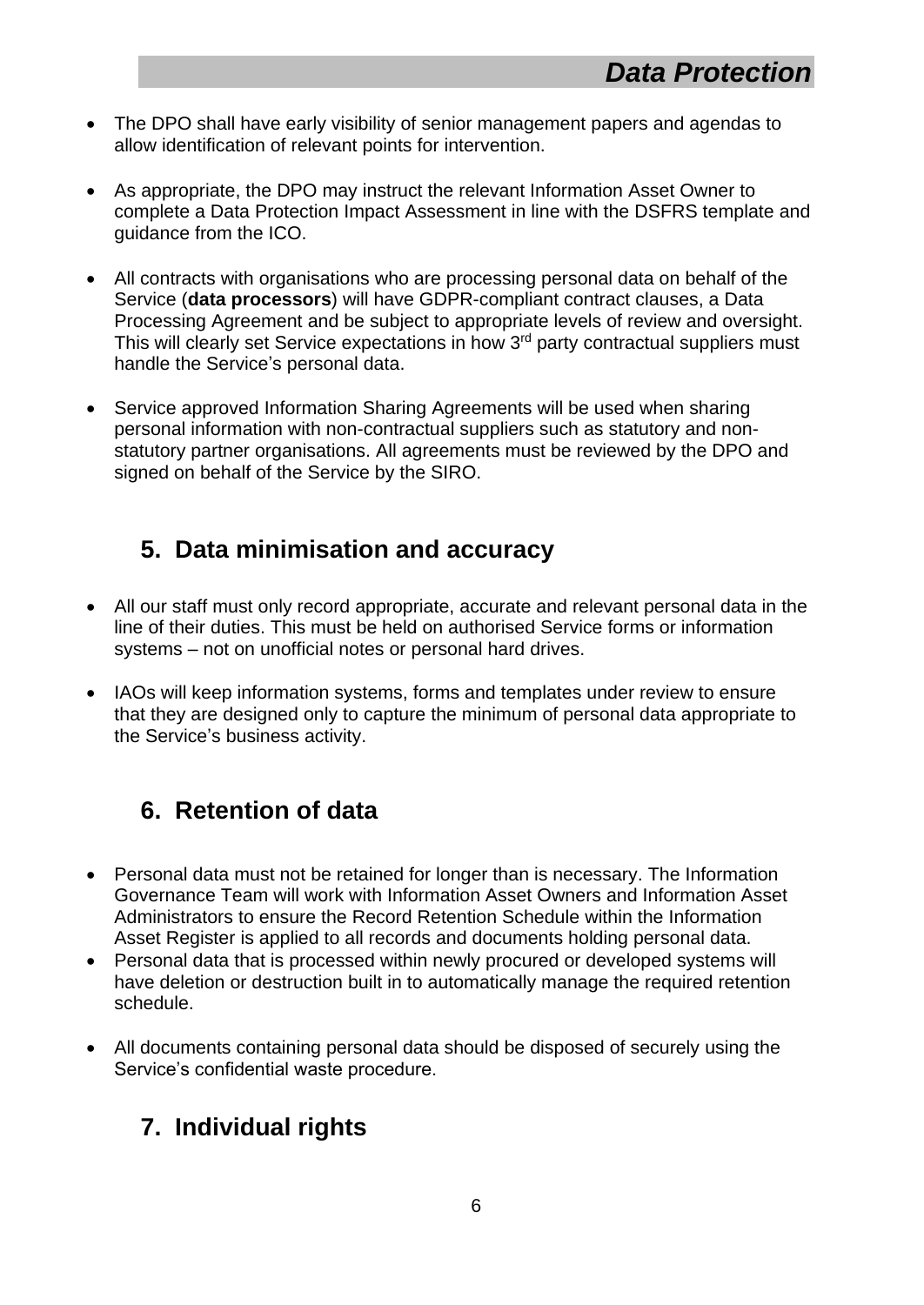- The DPO shall have early visibility of senior management papers and agendas to allow identification of relevant points for intervention.
- As appropriate, the DPO may instruct the relevant Information Asset Owner to complete a Data Protection Impact Assessment in line with the DSFRS template and guidance from the ICO.
- All contracts with organisations who are processing personal data on behalf of the Service (**data processors**) will have GDPR-compliant contract clauses, a Data Processing Agreement and be subject to appropriate levels of review and oversight. This will clearly set Service expectations in how 3<sup>rd</sup> party contractual suppliers must handle the Service's personal data.
- Service approved Information Sharing Agreements will be used when sharing personal information with non-contractual suppliers such as statutory and nonstatutory partner organisations. All agreements must be reviewed by the DPO and signed on behalf of the Service by the SIRO.

### <span id="page-6-0"></span>**5. Data minimisation and accuracy**

- All our staff must only record appropriate, accurate and relevant personal data in the line of their duties. This must be held on authorised Service forms or information systems – not on unofficial notes or personal hard drives.
- IAOs will keep information systems, forms and templates under review to ensure that they are designed only to capture the minimum of personal data appropriate to the Service's business activity.

## <span id="page-6-1"></span>**6. Retention of data**

- Personal data must not be retained for longer than is necessary. The Information Governance Team will work with Information Asset Owners and Information Asset Administrators to ensure the Record Retention Schedule within the Information Asset Register is applied to all records and documents holding personal data.
- Personal data that is processed within newly procured or developed systems will have deletion or destruction built in to automatically manage the required retention schedule.
- All documents containing personal data should be disposed of securely using the Service's confidential waste procedure.

## <span id="page-6-2"></span>**7. Individual rights**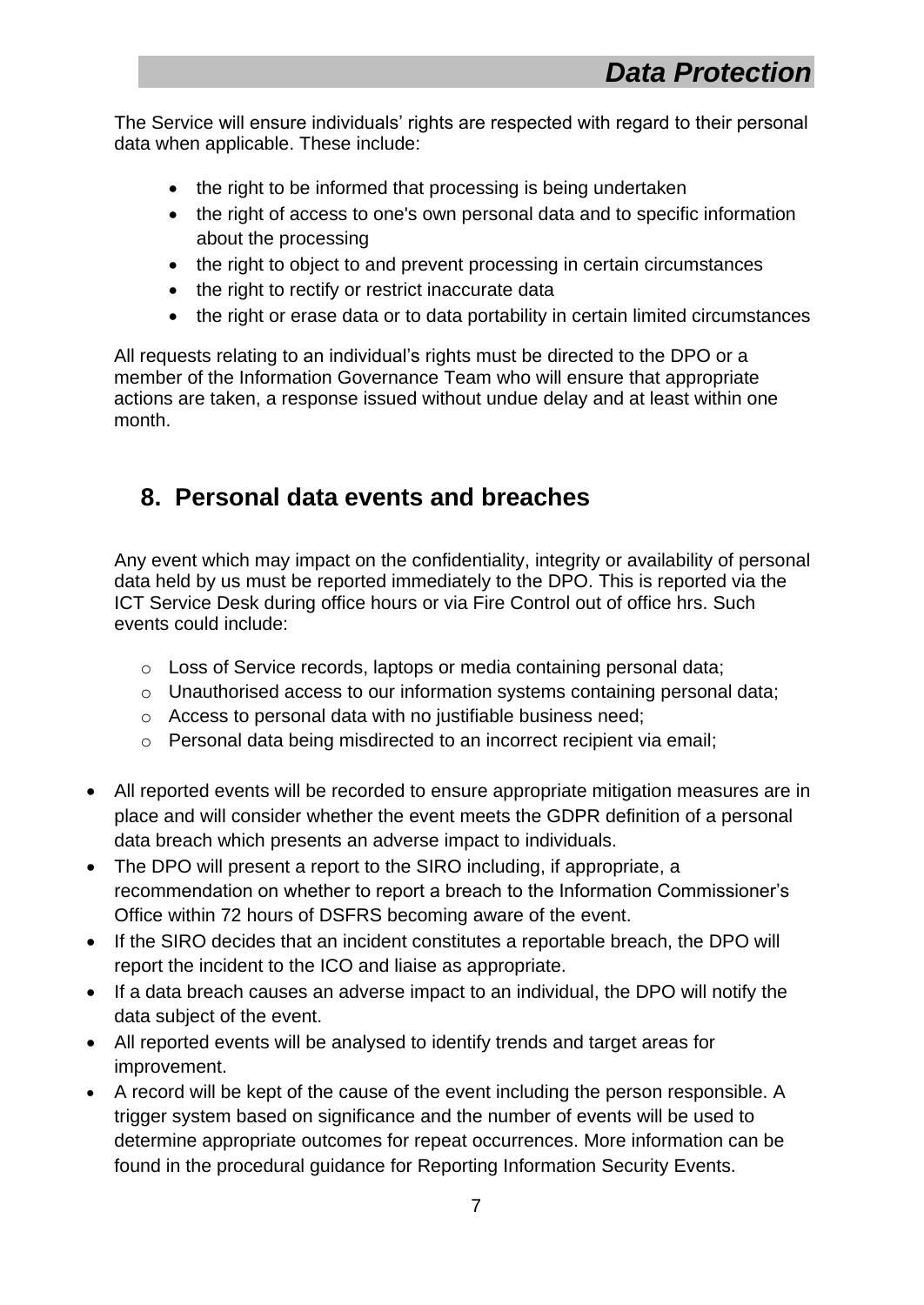The Service will ensure individuals' rights are respected with regard to their personal data when applicable. These include:

- the right to be informed that processing is being undertaken
- the right of access to one's own personal data and to specific information about the processing
- the right to object to and prevent processing in certain circumstances
- the right to rectify or restrict inaccurate data
- the right or erase data or to data portability in certain limited circumstances

All requests relating to an individual's rights must be directed to the DPO or a member of the Information Governance Team who will ensure that appropriate actions are taken, a response issued without undue delay and at least within one month.

### <span id="page-7-0"></span>**8. Personal data events and breaches**

Any event which may impact on the confidentiality, integrity or availability of personal data held by us must be reported immediately to the DPO. This is reported via the ICT Service Desk during office hours or via Fire Control out of office hrs. Such events could include:

- o Loss of Service records, laptops or media containing personal data;
- o Unauthorised access to our information systems containing personal data;
- o Access to personal data with no justifiable business need;
- o Personal data being misdirected to an incorrect recipient via email;
- All reported events will be recorded to ensure appropriate mitigation measures are in place and will consider whether the event meets the GDPR definition of a personal data breach which presents an adverse impact to individuals.
- The DPO will present a report to the SIRO including, if appropriate, a recommendation on whether to report a breach to the Information Commissioner's Office within 72 hours of DSFRS becoming aware of the event.
- If the SIRO decides that an incident constitutes a reportable breach, the DPO will report the incident to the ICO and liaise as appropriate.
- If a data breach causes an adverse impact to an individual, the DPO will notify the data subject of the event.
- All reported events will be analysed to identify trends and target areas for improvement.
- A record will be kept of the cause of the event including the person responsible. A trigger system based on significance and the number of events will be used to determine appropriate outcomes for repeat occurrences. More information can be found in the procedural guidance for Reporting Information Security Events.